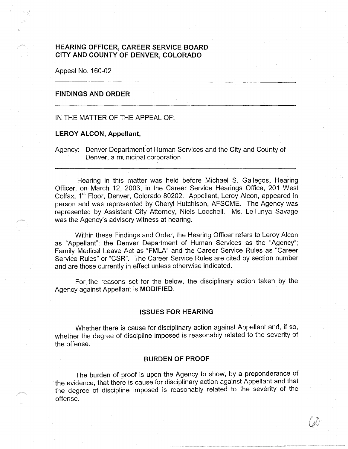# **HEARING OFFICER, CAREER SERVICE BOARD CITY AND COUNTY OF DENVER, COLORADO**

Appeal No. 160-02

# **FINDINGS AND ORDER**

## IN THE MATTER OF THE APPEAL OF:

#### **LEROY ALCON, Appellant,**

Agency: Denver Department of Human Services and the City and County of Denver, a municipal corporation.

Hearing in this matter was held before Michael S. Gallegos, Hearing Officer, on March 12, 2003, in the Career Service Hearings Office, 201 West Colfax, 1<sup>st</sup> Floor, Denver, Colorado 80202. Appellant, Leroy Alcon, appeared in person and was represented by Cheryl Hutchison, AFSCME. The Agency was represented by Assistant City Attorney, Niels Loechell. Ms. LeTunya Savage was the Agency's advisory witness at hearing.

Within these Findings and Order, the Hearing Officer refers to Leroy Alcon as "Appellant"; the Denver Department of Human Services as the "Agency"; Family Medical Leave Act as "FMLA" and the Career Service Rules as "Career Service Rules" or "CSR". The Career Service Rules are cited by section number and are those currently in effect unless otherwise indicated.

For the reasons set for the below, the disciplinary action taken by the Agency against Appellant is **MODIFIED.** 

## **ISSUES FOR HEARING**

Whether there is cause for disciplinary action against Appellant and, if so, whether the degree of discipline imposed is reasonably related to the severity of the offense.

## **BURDEN OF PROOF**

The burden of proof is upon the Agency to show, by a preponderance of the evidence, that there is cause for disciplinary action against Appellant and that the degree of discipline imposed is reasonably related to the severity of the offense.

 $\mathcal{G}$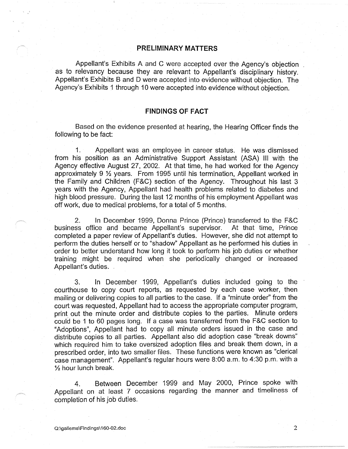## **PRELIMINARY MATTERS**

Appellant's Exhibits A and C were accepted over the Agency's objection as to relevancy because they are relevant to Appellant's disciplinary history. Appellant's Exhibits B and D were accepted into evidence without objection. The Agency's Exhibits 1 through 10 were accepted into evidence without objection.

## **FINDINGS OF FACT**

Based on the evidence presented at hearing, the Hearing Officer finds the following to be fact:

1. Appellant was an employee in career status. He was dismissed from his position as an Administrative Support Assistant (ASA) Ill with the Agency effective August 27, 2002. At that time, he had worked for the Agency approximately 9 ½ years. From 1995 until his termination, Appellant worked in the Family and Children (F&C) section of the Agency. Throughout his last 3 years with the Agency, Appellant had health problems related to diabetes and high blood pressure. During the last 12 months of his employment Appellant was off work, due to medical problems, for a total of 5 months.

2. In December 1999, Donna Prince (Prince) transferred to the F&C business office and became Appellant's supervisor. At that time, Prince completed a paper review of Appellant's duties. However, she did not attempt to perform the duties herself or to "shadow" Appellant as he performed his duties in order to better understand how long it took to perform his job duties or whether training might be required when she periodically changed or increased Appellant's duties.

3. In December 1999, Appellant's duties included going to the courthouse to copy court reports, as requested by each case worker, then mailing or delivering copies to all parties to the case. If a "minute order'' from the court was requested, Appellant had to access the appropriate computer program, print out the minute order and distribute copies to the parties. Minute orders could be 1 to 60 pages long. If a case was transferred from the F&C section to "Adoptions", Appellant had to copy all minute orders issued in the case and distribute copies to all parties. Appellant also did adoption case "break downs" which required him to take oversized adoption files and break them down, in a prescribed order, into two smaller files. These functions were known as "clerical case management". Appellant's regular hours were 8:00 a.m. to 4:30 p.m. with a ½ hour lunch break.

4. Between December 1999 and May 2000, Prince spoke with Appellant on at least 7 occasions regarding the manner and timeliness of completion of his job duties.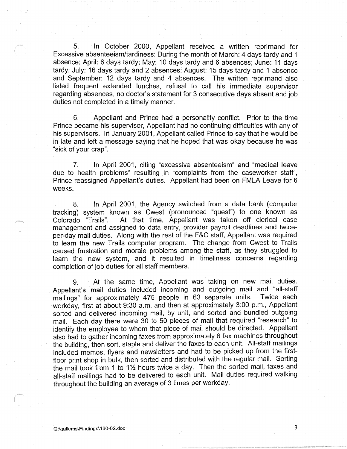5. In October 2000, Appellant received a written reprimand for Excessive absenteeism/tardiness: During the month of March: 4 days tardy and 1 absence; April: 6 days tardy; May: 10 days tardy and 6 absences; June: 11 days tardy; July: 16 days tardy and 2 absences; August: 15 days tardy and 1 absence and September: 12 days tardy and 4 absences. The written reprimand also listed frequent extended lunches, refusal *to* call his immediate supervisor regarding absences, no doctor's statement for 3 consecutive days absent and job duties not completed in a timely manner.

6. Appellant and Prince had a personality conflict. Prior to the time Prince became his supervisor, Appellant had no continuing difficulties with any of his supervisors. In January 2001, Appellant called Prince to say that he would be in late and left a message saying that he hoped that was okay because he was "sick of your crap".

7. In April 2001, citing "excessive absenteeism" and "medical leave due to health problems" resulting in "complaints from the caseworker staff", Prince reassigned Appellant's duties. Appellant had been on FMLA Leave for 6 weeks.

8. In April 2001, the Agency switched from a data bank (computer tracking) system known as Cwest (pronounced "quest") to one known as Colorado "Trails". At that time, Appellant was taken off clerical case management and assigned to data entry, provider payroll deadlines and twiceper-day mail duties. Along with the rest of the F&C staff, Appellant was required *to* learn the new Trails computer program. The change from Cwest *to* Trails caused frustration and morale problems among the staff, as they struggled to learn the new system, and it resulted in timeliness concerns regarding completion of job duties for all staff members.

9. At the same time, Appellant was taking on new mail duties. Appellant's mail duties included incoming and outgoing mail and "all-staff mailings" for approximately 475 people in 63 separate units. Twice each workday, first at about 9:30 a.m. and then at approximately 3:00 p.m., Appellant sorted and delivered incoming mail, by unit, and sorted and bundled outgoing mail. Each day there were 30 to 50 pieces of mail that required "research" to identify the employee to whom that piece of mail should be directed. Appellant also had to gather incoming faxes from approximately 6 fax machines throughout the building, then sort, staple and deliver the faxes to each unit. All-staff mailings included memos, flyers and newsletters and had to be picked up from the firstfloor print shop in bulk, then sorted and distributed with the regular mail. Sorting the mail took from 1 to 1 $\frac{1}{2}$  hours twice a day. Then the sorted mail, faxes and all-staff mailings had to be delivered to each unit. Mail duties required walking throughout the building an average of 3 times per workday.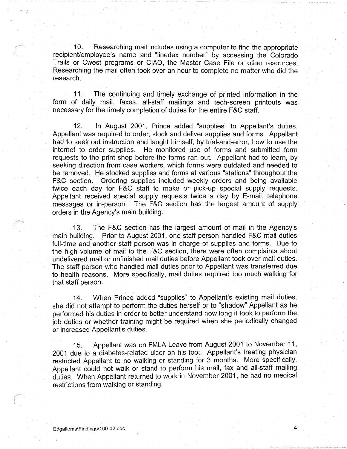10. Researching mail includes using a computer to find the appropriate recipient/employee's name and "linedex number" by accessing the Colorado Trails or Cwest programs or CIAO, the Master Case File or other resources. Researching the mail often took over an hour to complete no matter who did the research.

11. The continuing and timely exchange of printed information in the form of daily mail, faxes, all-staff mailings and tech-screen printouts was necessary for the timely completion of duties for the entire F&C staff.

12. In August 2001, Prince added "supplies" to Appellant's duties. Appellant was required to order, stock and deliver supplies and forms. Appellant had to seek out instruction and taught himself, by trial-and-error, how to use the internet to order supplies. He monitored use of forms and submitted form requests to the print shop before the forms ran out. Appellant had to learn, by seeking direction from case workers, which forms were outdated and needed to be removed. He stocked supplies and forms at various "stations" throughout the F&C section. Ordering supplies included weekly orders and being available twice each day for F&C staff to make or pick-up special supply requests. Appellant received special supply requests twice a day by E-mail, telephone messages or in-person. The F&C section has the largest amount of supply orders in the Agency's main building.

13. The F&C section has the largest amount of mail in the Agency's main building. Prior to August 2001, one staff person handled F&C mail duties full-time and another staff person was in charge of supplies and forms. Due to the high volume of mail to the F&C section, there were often complaints about undelivered mail or unfinished mail duties before Appellant took over mail duties. The staff person who handled mail duties prior to Appellant was transferred due to health reasons. More specifically, mail duties required too much walking for that staff person.

14. When Prince added "supplies" to Appellant's existing mail duties, she did not attempt to perform the duties herself or to "shadow" Appellant as he performed his duties in order to better understand how long it took to perform the job duties or whether training might be required when she periodically changed or increased Appellant's duties.

15. Appellant was on FMLA Leave from August 2001 to November 11, 2001 due to a diabetes-related ulcer on his foot. Appellant's treating physician restricted Appellant to no walking or standing for 3 months. More specifically, Appellant could not walk or stand to perform his mail, fax and all-staff mailing duties. When Appellant returned to work in November 2001, he had no medical restrictions from walking or standing.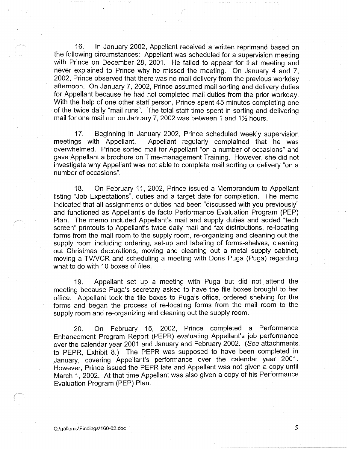16. In January 2002, Appellant received a written reprimand based on the following circumstances: Appellant was scheduled for a supervision meeting with Prince on December 28, 2001. He failed to appear for that meeting and never explained to Prince why he missed the meeting. On January 4 and 7, 2002, Prince observed that there was no mail delivery from the previous workday afternoon. On January 7, 2002, Prince assumed mail sorting and delivery duties for Appellant because he had not completed mail duties from the prior workday. With the help of one other staff person, Prince spent 45 minutes completing one of the twice daily "mail runs". The total staff time spent in sorting and delivering mail for one mail run on January 7, 2002 was between 1 and  $1\frac{1}{2}$  hours.

17. Beginning in January 2002, Prince scheduled weekly supervision meetings with Appellant. Appellant reqularly complained that he was Appellant regularly complained that he was overwhelmed. Prince sorted mail for Appellant "on a number of occasions" and gave Appellant a brochure on Time-management Training. However, she did not investigate why Appellant was not able to complete mail sorting or delivery "on a number of occasions".

18. On February 11, 2002, Prince issued a Memorandum to Appellant listing "Job Expectations", duties and a target date for completion. The memo indicated that all assignments or duties had been "discussed with you previously" and functioned as Appellant's de facto Performance Evaluation Program (PEP) Plan. The memo included Appellant's mail and supply duties and added "tech screen" printouts to Appellant's twice daily mail and fax distributions, re-locating forms from the mail room to the supply room, re-organizing and cleaning out the supply room including ordering, set-up and labeling of forms-shelves, cleaning out Christmas decorations, moving and cleaning out a metal supply cabinet, moving a TVNCR and scheduling a meeting with Doris Puga (Puga) regarding what *to* do with 10 boxes of files.

19. Appellant set up a meeting with Puga but did not attend the meeting because Puga's secretary asked to have the file boxes brought to her office. Appellant took the file boxes to Puga's office, ordered shelving for the forms and began the process of re-locating forms from the mail room to the supply room and re-organizing and cleaning out the supply room.

20. On February 15, 2002, Prince completed a Performance Enhancement Program Report (PEPR) evaluating Appellant's job performance over the calendar year 2001 and January and February 2002. (See attachments to PEPR, Exhibit 8.) The PEPR was supposed to have been completed in January, covering Appellant's performance over the calendar year 2001. However, Prince issued the PEPR late and Appellant was not given a copy until March 1, 2002. At that time Appellant was also given a copy of his Performance Evaluation Program (PEP) Plan.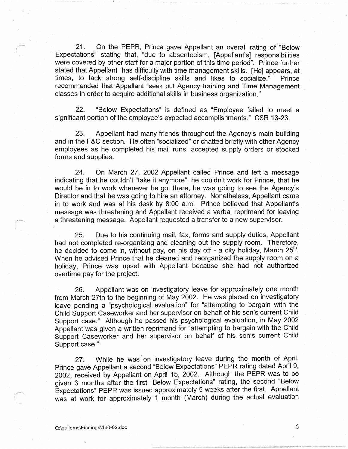21. On the PEPR, Prince gave Appellant an overall rating of "Below Expectations" stating that, "due to absenteeism, [Appellant's] responsibilities were covered by other staff for a major portion of this time period". Prince further stated that Appellant "has difficulty with time management skills. [He] appears, at times, to lack strong self-discipline skills and likes to socialize." Prince recommended that Appellant "seek out Agency training and Time Management classes in order to acquire additional skills in business organization."

22. "Below Expectations" is defined as "Employee failed to meet a significant portion of the employee's expected accomplishments." CSR 13-23.

23. Appellant had many friends throughout the Agency's main building and in the F&C section. He often "socialized" or chatted briefly with other Agency employees as he completed his mail runs, accepted supply orders or stocked forms and supplies.

24. On March 27, 2002 Appellant called Prince and left a message indicating that he couldn't "take it anymore", he couldn't work for Prince, that he would be in to work whenever he got there, he was going to see the Agency's Director and that he was going to hire an attorney. Nonetheless, Appellant came in to work and was at his desk by 8:00 a.m. Prince believed that Appellant's message was threatening and Appellant received a verbal reprimand for leaving a threatening message. Appellant requested a transfer to a new supervisor.

25. Due to his continuing mail, fax, forms and supply duties, Appellant had not completed re-organizing and cleaning out the supply room. Therefore, he decided to come in, without pay, on his day off - a city holiday, March  $25<sup>th</sup>$ . When he advised Prince that he cleaned and reorganized the supply room on a holiday, Prince was upset with Appellant because she had not authorized overtime pay for the project.

26. Appellant was on investigatory leave for approximately one month from March 27th to the beginning of May 2002. He was placed on investigatory leave pending a "psychological evaluation" for "attempting to bargain with the Child Support Caseworker and her supervisor on behalf of his son's current Child Support case." Although he passed his psychological evaluation, in May 2002 Appellant was given a written reprimand for "attempting to bargain with the Child Support Caseworker and her supervisor on behalf of his son's current Child Support case."

27. While he was· on investigatory leave during the month of April, Prince gave Appellant a second "Below Expectations" PEPR rating dated April 9, 2002, received by Appellant on April 15, 2002. Although the PEPR was to be given 3 months after the first "Below Expectations" rating, the second "Below Expectations" PEPR was issued approximately 5 weeks after the first. Appellant was at work for approximately 1 month (March) during the actual evaluation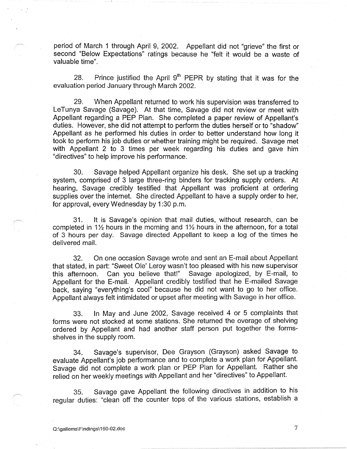period of March 1 through April 9, 2002. Appellant did not "grieve" the first or second "Below Expectations" ratings because he "felt it would be a waste of valuable time".

28. Prince justified the April  $9<sup>th</sup>$  PEPR by stating that it was for the evaluation period January through March 2002.

29. When Appellant returned to work his supervision was transferred to LeTunya Savage (Savage). At that time, Savage did not review or meet with Appellant regarding a PEP Plan. She completed a paper review of Appellant's duties. However, she did not attempt to perform the duties herself or to "shadow" Appellant as he performed his duties in order to better understand how long it took to perform his job duties or whether training might be required. Savage met with Appellant 2 to 3 times per week regarding his duties and gave him "directives" to help improve his performance.

30. Savage helped Appellant organize his desk. She set up a tracking system, comprised of 3 large three-ring binders for tracking supply orders. At hearing, Savage credibly testified that Appellant was proficient at ordering supplies over the internet. She directed Appellant to have a supply order to her, for approval, every Wednesday by 1:30 p.m.

31. It is Savage's opinion that mail duties, without research, can be completed in 1 $\frac{1}{2}$  hours in the morning and 1 $\frac{1}{2}$  hours in the afternoon, for a total of 3 hours per day. Savage directed Appellant to keep a log of the times he delivered mail.

32. On one occasion Savage wrote and sent an E-mail about Appellant that stated, in part: "Sweet Ole' Leroy wasn't too pleased with his new supervisor this afternoon. Can you believe that!" Savage apologized, by E-mail, to Appellant for the E-mail. Appellant credibly testified that he E-mailed Savage back, saying "everything's cool" because he did not want to go to her office. Appellant always felt intimidated or upset after meeting with Savage in her office.

33. In May and June 2002, Savage received 4 or 5 complaints that forms were not stocked at some stations. She returned the overage of shelving ordered by Appellant and had another staff person put together the formsshelves in the supply room.

34. Savage's supervisor, Dee Grayson (Grayson) asked Savage to evaluate Appellant's job performance and to complete a work plan for Appellant. Savage did not complete a work plan or PEP Plan for Appellant. Rather she relied on her weekly meetings with Appellant and her "directives" to Appellant.

35. Savage gave Appellant the following directives in addition to his regular duties: "clean off the counter tops of the various stations, establish a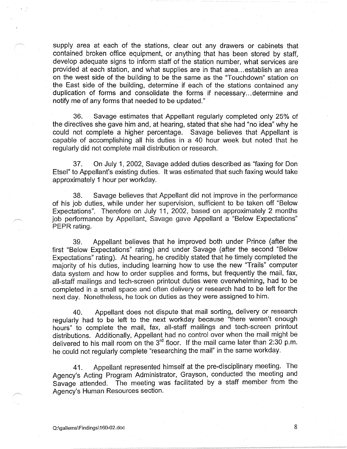supply area at each of the stations, clear out any drawers or cabinets that contained broken office equipment, or anything that has been stored by staff, develop adequate signs to inform staff of the station number, what services are provided at each station, and what supplies are in that area ... establish an area on the west side of the building to be the same as the "Touchdown" station on the East side of the building, determine if each of the stations contained any duplication of forms and consolidate the forms if necessary ... determine and notify me of any forms that needed to be updated."

36. Savage estimates that Appellant regularly completed only 25% of the directives she gave him and, at hearing, stated that she had "no idea" why he could not complete a higher percentage. Savage believes that Appellant is capable of accomplishing all his duties in a 40 hour week but noted that he regularly did not complete mail distribution or research.

37. On July 1, 2002, Savage added duties described as "faxing for Don Etsel" to Appellant's existing duties. It was estimated that such faxing would take approximately 1 hour per workday.

38. Savage believes that Appellant did not improve in the performance of his job duties, while under her supervision, sufficient to be taken off "Below Expectations". Therefore on July 11, 2002, based on approximately 2 months job performance by Appellant, Savage gave Appellant a "Below Expectations" PEPR rating.

39. Appellant believes that he improved both under Prince (after the first "Below Expectations" rating) and under Savage (after the second "Below Expectations" rating). At hearing, he credibly stated that he timely completed the majority of his duties, including learning how to use the new "Trails" computer data system and how to order supplies and forms, but frequently the mail, fax, all-staff mailings and tech-screen printout duties were overwhelming, had to be completed in a small space and often delivery or research had to be left for the next day. Nonetheless, he took on duties as they were assigned to him.

40. Appellant does not dispute that mail sorting, delivery or research regularly had to be left to the next workday because "there weren't enough hours" to complete the mail, fax, all-staff mailings and tech-screen printout distributions. Additionally, Appellant had no control over when the mail might be delivered to his mail room on the  $3^{rd}$  floor. If the mail came later than 2:30 p.m. he could not regularly complete "researching the mail" in the same workday.

41. Appellant represented himself at the pre-disciplinary meeting. The Agency's Acting Program Administrator, Grayson, conducted the meeting and Savage attended. The meeting was facilitated by a staff member from the Agency's Human Resources section.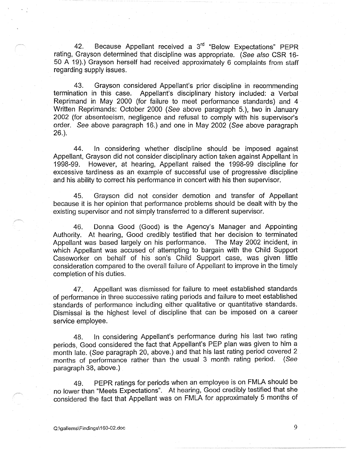42. Because Appellant received a 3<sup>rd</sup> "Below Expectations" PEPR rating, Grayson determined that discipline was appropriate. ( See also CSR 16- 50 A 19).) Grayson herself had received approximately 6 complaints from staff regarding supply issues.

43. Grayson considered Appellant's prior discipline in recommending termination in this case. Appellant's disciplinary history included: a Verbal Reprimand in May 2000 (for failure to meet performance standards) and 4 Written Reprimands: October 2000 ( See above paragraph 5. ), two in January 2002 (for absenteeism, negligence and refusal to comply with his supervisor's order. See above paragraph 16.) and one in May 2002 (See above paragraph 26.).

44. In considering whether discipline should be imposed against Appellant, Grayson did not consider disciplinary action taken against Appellant in 1998-99. However, at hearing, Appellant raised the 1998-99 discipline for excessive tardiness as an example of successful use of progressive discipline and his ability to correct his performance in concert with his then supervisor.

45. Grayson did not consider demotion and transfer of Appellant because it is her opinion that performance problems should be dealt with by the existing supervisor and not simply transferred to a different supervisor.

46. Donna Good (Good) is the Agency's Manager and Appointing Authority. At hearing, Good credibly testified that her decision to terminated Appellant was based largely on his performance. The May 2002 incident, in which Appellant was accused of attempting to bargain with the Child Support Caseworker on behalf of his son's Child Support case, was given little consideration compared to the overall failure of Appellant to improve in the timely completion of his duties.

47. Appellant was dismissed for failure to meet established standards of performance in three successive rating periods and failure to meet established standards of performance including either qualitative or quantitative standards. Dismissal is the highest level of discipline that can be imposed on a career service employee.

48. In considering Appellant's performance during his last two rating periods, Good considered the fact that Appellant's PEP plan was given to him a month late. ( See paragraph 20, above.) and that his last rating period covered 2 months of performance rather than the usual 3 month rating period. (See paragraph 38, above.)

49. PEPR ratings for periods when an employee is on FMLA should be no lower than "Meets Expectations". At hearing, Good credibly testified that she considered the fact that Appellant was on FMLA for approximately 5 months of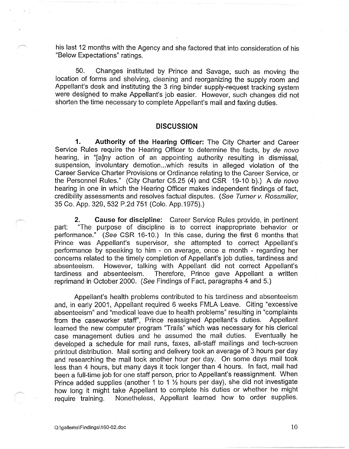his last 12 months with the Agency and she factored that into consideration of his "Below Expectations" ratings.

50. Changes instituted by Prince and Savage, such as moving the location of forms and shelving, cleaning and reorganizing the supply room and Appellant's desk and instituting the 3 ring binder supply-request tracking system were designed to make Appellant's job easier. However, such changes did not shorten the time necessary to complete Appellant's mail and faxing duties.

## **DISCUSSION**

**1. Authority of the Hearing Officer:** The City Charter and Career Service Rules require the Hearing Officer to determine the facts, by de novo hearing, in "[a]ny action of an appointing authority resulting in dismissal, suspension, involuntary demotion...which results in alleged violation of the Career Service Charter Provisions or Ordinance relating to the Career Service, or the Personnel Rules." (City Charter C5.25 (4) and CSR 19-10 b).) A de novo hearing in one in which the Hearing Officer makes independent findings of fact, credibility assessments and resolves factual disputes. ( See Turner v. Rossmiller, 35 Co. App. 329, 532 P.2d 751 (Colo. App.1975).)

**2. Cause for discipline:** Career Service Rules provide, in pertinent part: "The purpose of discipline is to correct inappropriate behavior or performance." (See CSR 16-10.) In this case, during the first 6 months that Prince was Appellant's supervisor, she attempted to correct Appellant's performance by speaking to him - on average, once a month - regarding her concerns related to the timely completion of Appellant's job duties, tardiness and absenteeism. However, talking with Appellant did not correct Appellant's tardiness and absenteeism. Therefore, Prince gave Appellant a written reprimand in October 2000. (See Findings of Fact, paragraphs 4 and 5.)

Appellant's health problems contributed to his tardiness and absenteeism and, in early 2001, Appellant required 6 weeks FMLA Leave. Citing "excessive absenteeism" and "medical leave due to health problems" resulting in "complaints from the caseworker staff", Prince reassigned Appellant's duties. Appellant learned the new computer program "Trails" which was necessary for his clerical case management duties and he assumed the mail duties. Eventually he developed a schedule for mail runs, faxes, all-staff mailings and tech-screen printout distribution. Mail sorting and delivery took an average of 3 hours per day and researching the mail took another hour per day. On some days mail took less than 4 hours, but many days it took longer than 4 hours. In fact, mail had been a full-time job for one staff person, prior to Appellant's reassignment. When Prince added supplies (another 1 to 1 ½ hours per day), she did not investigate how long it might take Appellant to complete his duties or whether he might require training. Nonetheless, Appellant learned how to order supplies.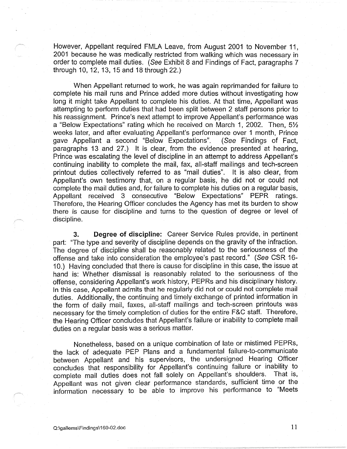However, Appellant required FMLA Leave, from August 2001 to November 11, 2001 because he was medically restricted from walking which was necessary in order to complete mail duties. (See Exhibit 8 and Findings of Fact, paragraphs 7 through 10, 12, 13, 15 and 18 through 22.)

When Appellant returned to work, he was again reprimanded for failure to complete his mail runs and Prince added more duties without investigating how long it might take Appellant to complete his duties. At that time, Appellant was attempting to perform duties that had been split between 2 staff persons prior to his reassignment. Prince's next attempt to improve Appellant's performance was a "Below Expectations" rating which he received on March 1, 2002. Then, 5½ weeks later, and after evaluating Appellant's performance over 1 month, Prince gave Appellant a second "Below Expectations". (See Findings of Fact, paragraphs 13 and 27.) It is clear, from the evidence presented at hearing, Prince was escalating the level of discipline in an attempt to address Appellant's continuing inability to complete the mail, fax, all-staff mailings and tech-screen printout duties collectively referred to as "mail duties". It is also clear, from Appellant's own testimony that, on a regular basis, he did not or could not complete the mail duties and, for failure to complete his duties on a regular basis, Appellant received 3 consecutive "Below Expectations" PEPR ratings. Therefore, the Hearing Officer concludes the Agency has met its burden to show there is cause for discipline and turns to the question of degree or level of discipline.

**3. Degree of discipline:** Career Service Rules provide, in pertinent part: "The type and severity of discipline depends on the gravity of the infraction. The degree of discipline shall be reasonably related to the seriousness of the offense and take into consideration the employee's past record." (See CSR 16- 10.) Having concluded that there is cause for discipline in this case, the issue at hand is: Whether dismissal is reasonably related to the seriousness of the offense, considering Appellant's work history, PEPRs and his disciplinary history. In this case, Appellant admits that he regularly did not or could not complete mail duties. Additionally, the continuing and timely exchange of printed information in the form of daily mail, faxes, all-staff mailings and tech-screen printouts was necessary tor the timely completion of duties for the entire F&C staff. Therefore, the Hearing Officer concludes that Appellant's failure or inability to complete mail duties on a regular basis was a serious matter.

Nonetheless, based on a unique combination of late or mistimed PEPRs, the lack of adequate PEP Plans and a fundamental failure-to-communicate between Appellant and his supervisors, the undersigned Hearing Officer concludes that responsibility for Appellant's continuing failure or inability to complete mail duties does not fall solely on Appellant's shoulders. That is, Appellant was not given clear performance standards, sufficient time or the information necessary to be able to improve his performance to "Meets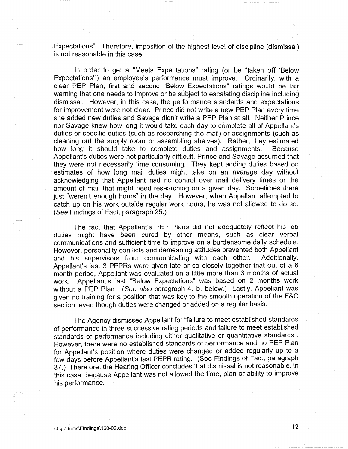Expectations". Therefore, imposition of the highest level of discipline (dismissal) is not reasonable in this case.

In order to get a "Meets Expectations" rating (or be "taken off 'Below Expectations"') an employee's performance must improve. Ordinarily, with a clear PEP Plan, first and second "Below Expectations" ratings would be fair warning that one needs to improve or be subject to escalating discipline including dismissal. However, in this case, the performance standards and expectations for improvement were not clear. Prince did not write a new PEP Plan every time she added new duties and Savage didn't write a PEP Plan at all. Neither Prince nor Savage knew how long it would take each day to complete all of Appellant's duties or specific duties (such as researching the mail) or assignments (such as cleaning out the supply room or assembling shelves). Rather, they estimated how long it should take to complete duties and assignments. Because Appellant's duties were not particularly difficult, Prince and Savage assumed that they were not necessarily time consuming. They kept adding duties based on estimates of how long mail duties might take on an average day without acknowledging that Appellant had no control over mail delivery times or the amount of mail that might need researching on a given day. Sometimes there just "weren't enough hours" in the day. However, when Appellant attempted to catch up on his work outside regular work hours, he was not allowed to do so. (See Findings of Fact, paragraph 25.)

The fact that Appellant's PEP Plans did not adequately reflect his job duties might have been cured by other means, such as clear verbal communications and sufficient time to improve on a burdensome daily schedule. However, personality conflicts and demeaning attitudes prevented both Appellant and his supervisors from communicating with each other. Additionally, Appellant's last 3 PEPRs were given late or so closely together that out of a 6 month period, Appellant was evaluated on a little more than 3 months of actual work. Appellant's last "Below Expectations" was based on 2 months work without a PEP Plan. (See also paragraph 4. b, below.) Lastly, Appellant was given no training for a position that was key to the smooth operation of the F&C section, even though duties were changed or added on a regular basis.

The Agency dismissed Appellant for "failure to meet established standards of performance in three successive rating periods and failure to meet established standards of performance including either qualitative or quantitative standards". However, there were no established standards of performance and no PEP Plan for Appellant's position where duties were changed or added regularly up to a few days before Appellant's last PEPR rating. (See Findings of Fact, paragraph 37.) Therefore, the Hearing Officer concludes that dismissal is not reasonable, in this case, because Appellant was not allowed the time, plan or ability to improve his performance.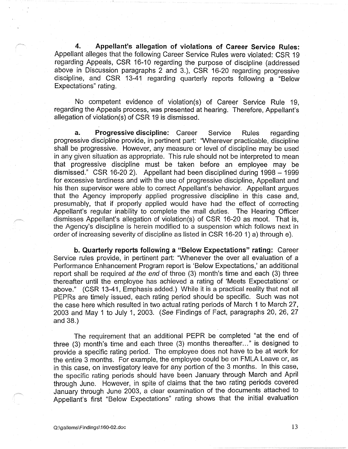**4. Appellant's allegation of violations of Career Service Rules:**  Appellant alleges that the following Career Service Rules were violated: CSR 19 regarding Appeals, CSR 16-10 regarding the purpose of discipline (addressed above in Discussion paragraphs 2 and 3.), CSR 16-20 regarding progressive discipline, and CSR 13-41 regarding quarterly reports following a "Below Expectations" rating.

No competent evidence of violation(s) of Career Service Rule 19, regarding the Appeals process, was presented at hearing. Therefore, Appellant's allegation of violation(s) of CSR 19 is dismissed.

**a. Progressive discipline:** Career Service Rules regarding progressive discipline provide, in pertinent part: 'Wherever practicable, discipline shall be progressive. However, any measure or level of discipline may be used in any given situation as appropriate. This rule should not be interpreted to mean that progressive discipline must be taken before an employee may be dismissed." CSR 16-20 2). Appellant had been disciplined during 1998 – 1999 for excessive tardiness and with the use of progressive discipline, Appellant and his then supervisor were able to correct Appellant's behavior. Appellant argues that the Agency improperly applied progressive discipline in this case and, presumably, that if properly applied would have had the effect of correcting Appellant's regular inability to complete the mail duties. The Hearing Officer dismisses Appellant's allegation of violation(s) of CSR 16-20 as moot. That is, the Agency's discipline is herein modified to a suspension which follows next in order of increasing severity of discipline as listed in CSR 16-20 1) a) through e).

**b. Quarterly reports following a "Below Expectations" rating:** Career Service rules provide, in pertinent part: "Whenever the over all evaluation of a Performance Enhancement Program report is 'Below Expectations,' an additional report shall be required at the end of three (3) month's time and each (3) three thereafter until the employee has achieved a rating of 'Meets Expectations' or above." (CSR 13-41, Emphasis added.) While it is a practical reality that not all PEPRs are timely issued, each rating period should be specific. Such was not the case here which resulted in two actual rating periods of March **1** to March 27, 2003 and May 1 to July 1, 2003. ( See Findings of Fact, paragraphs 20, 26, 27 and 38.)

The requirement that an additional PEPR be completed "at the end of three (3) month's time and each three (3) months thereafter..." is designed to provide a specific rating period. The employee does not have to be at work for the entire 3 months. For example, the employee could be on FMLA Leave or, as in this case, on investigatory leave for any portion of the 3 months. In this case, the specific rating periods should have been January through March and April through June. However, in spite of claims that the two rating periods covered January through June 2003, a clear examination of the documents attached to Appellant's first "Below Expectations" rating shows that the initial evaluation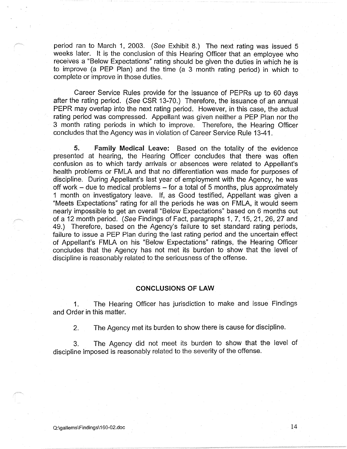period ran to March 1, 2003. (See Exhibit 8.) The next rating was issued 5 weeks later. It is the conclusion of this Hearing Officer that an employee who receives a "Below Expectations" rating should be given the duties in which he is to improve (a PEP Plan) and the time (a 3 month rating period) in which to complete or improve in those duties.

Career Service Rules provide for the issuance of PEPRs up to 60 days after the rating period. (See CSR 13-70.) Therefore, the issuance of an annual PEPR may overlap into the next rating period. However, in this case, the actual rating period was compressed. Appellant was given neither a PEP Plan nor the 3 month rating periods in which to improve. Therefore, the Hearing Officer concludes that the Agency was in violation of Career Service Rule 13-41.

**5. Family Medical Leave:** Based on the totality of the evidence presented at hearing, the Hearing Officer concludes that there was often confusion as to which tardy arrivals or absences were related to Appellant's health problems or FMLA and that no differentiation was made for purposes of discipline. During Appellant's last year of employment with the Agency, he was off work  $-$  due to medical problems  $-$  for a total of 5 months, plus approximately 1 month on investigatory leave. If, as Good testified, Appellant was given a "Meets Expectations" rating for all the periods he was on FMLA, it would seem nearly impossible to get an overall "Below Expectations" based on 6 months out of a 12 month period. (See Findings of Fact, paragraphs 1, 7, 15, 21, 26, 27 and 49.) Therefore, based on the Agency's failure to set standard rating periods, failure to issue a PEP Plan during the last rating period and the uncertain effect of Appellant's FMLA on his "Below Expectations" ratings, the Hearing Officer concludes that the Agency has not met its burden to show that the level of discipline is reasonably related to the seriousness of the offense.

### **CONCLUSIONS OF LAW**

1. The Hearing Officer has jurisdiction to make and issue Findings and Order in this matter.

2. The Agency met its burden to show there is cause for discipline.

3. The Agency did not meet its burden to show that the level of discipline imposed is reasonably related to the severity of the offense.